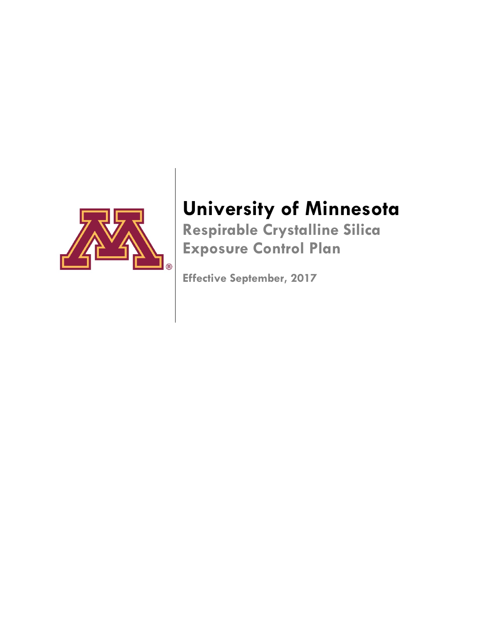

# **University of Minnesota Respirable Crystalline Silica**

**Exposure Control Plan**

**Effective September, 2017**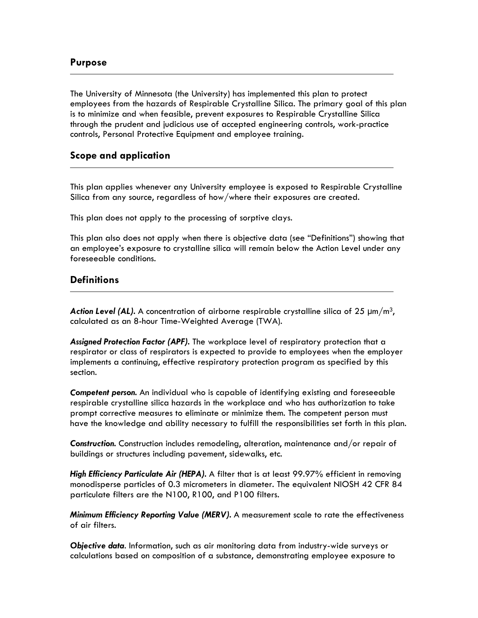### **Purpose**

The University of Minnesota (the University) has implemented this plan to protect employees from the hazards of Respirable Crystalline Silica. The primary goal of this plan is to minimize and when feasible, prevent exposures to Respirable Crystalline Silica through the prudent and judicious use of accepted engineering controls, work-practice controls, Personal Protective Equipment and employee training.

#### **Scope and application**

This plan applies whenever any University employee is exposed to Respirable Crystalline Silica from any source, regardless of how/where their exposures are created.

This plan does not apply to the processing of sorptive clays.

This plan also does not apply when there is objective data (see "Definitions") showing that an employee's exposure to crystalline silica will remain below the Action Level under any foreseeable conditions.

# **Definitions**

**Action Level (AL).** A concentration of airborne respirable crystalline silica of 25  $\mu$ m/m<sup>3</sup>, calculated as an 8-hour Time-Weighted Average (TWA).

*Assigned Protection Factor (APF).* The workplace level of respiratory protection that a respirator or class of respirators is expected to provide to employees when the employer implements a continuing, effective respiratory protection program as specified by this section.

*Competent person.* An individual who is capable of identifying existing and foreseeable respirable crystalline silica hazards in the workplace and who has authorization to take prompt corrective measures to eliminate or minimize them. The competent person must have the knowledge and ability necessary to fulfill the responsibilities set forth in this plan.

*Construction.* Construction includes remodeling, alteration, maintenance and/or repair of buildings or structures including pavement, sidewalks, etc.

*High Efficiency Particulate Air (HEPA).* A filter that is at least 99.97% efficient in removing monodisperse particles of 0.3 micrometers in diameter. The equivalent NIOSH 42 CFR 84 particulate filters are the N100, R100, and P100 filters.

*Minimum Efficiency Reporting Value (MERV).* A measurement scale to rate the effectiveness of air filters.

*Objective data*. Information, such as air monitoring data from industry-wide surveys or calculations based on composition of a substance, demonstrating employee exposure to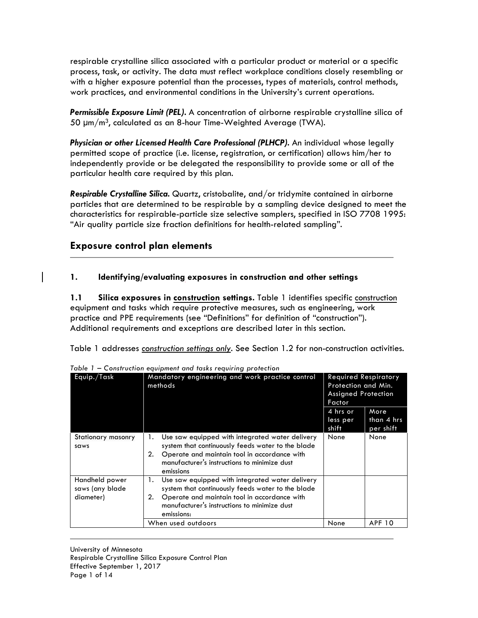respirable crystalline silica associated with a particular product or material or a specific process, task, or activity. The data must reflect workplace conditions closely resembling or with a higher exposure potential than the processes, types of materials, control methods, work practices, and environmental conditions in the University's current operations.

*Permissible Exposure Limit (PEL).* A concentration of airborne respirable crystalline silica of 50  $\mu$ m/m<sup>3</sup>, calculated as an 8-hour Time-Weighted Average (TWA).

**Physician or other Licensed Health Care Professional (PLHCP).** An individual whose legally permitted scope of practice (i.e. license, registration, or certification) allows him/her to independently provide or be delegated the responsibility to provide some or all of the particular health care required by this plan.

*Respirable Crystalline Silica.* Quartz, cristobalite, and/or tridymite contained in airborne particles that are determined to be respirable by a sampling device designed to meet the characteristics for respirable-particle size selective samplers, specified in ISO 7708 1995: "Air quality particle size fraction definitions for health-related sampling".

# **Exposure control plan elements**

#### **1. Identifying/evaluating exposures in construction and other settings**

**1.1 Silica exposures in construction settings.** Table 1 identifies specific construction equipment and tasks which require protective measures, such as engineering, work practice and PPE requirements (see "Definitions" for definition of "construction"). Additional requirements and exceptions are described later in this section.

Table 1 addresses *construction settings only*. See Section 1.2 for non-construction activities.

| Equip./Task                                    | Mandatory engineering and work practice control<br>methods                                                                                                                                                                     | <b>Required Respiratory</b><br>Protection and Min.<br><b>Assigned Protection</b><br>Factor |                                 |
|------------------------------------------------|--------------------------------------------------------------------------------------------------------------------------------------------------------------------------------------------------------------------------------|--------------------------------------------------------------------------------------------|---------------------------------|
|                                                |                                                                                                                                                                                                                                | 4 hrs or<br>less per<br>shift                                                              | More<br>than 4 hrs<br>per shift |
| Stationary masonry<br>saws                     | Use saw equipped with integrated water delivery<br>1.<br>system that continuously feeds water to the blade<br>Operate and maintain tool in accordance with<br>2.<br>manufacturer's instructions to minimize dust<br>emissions  | None                                                                                       | None                            |
| Handheld power<br>saws (any blade<br>diameter) | Use saw equipped with integrated water delivery<br>1.<br>system that continuously feeds water to the blade<br>Operate and maintain tool in accordance with<br>2.<br>manufacturer's instructions to minimize dust<br>emissions: |                                                                                            |                                 |
|                                                | When used outdoors                                                                                                                                                                                                             | None                                                                                       | <b>APF 10</b>                   |

*Table 1 – Construction equipment and tasks requiring protection*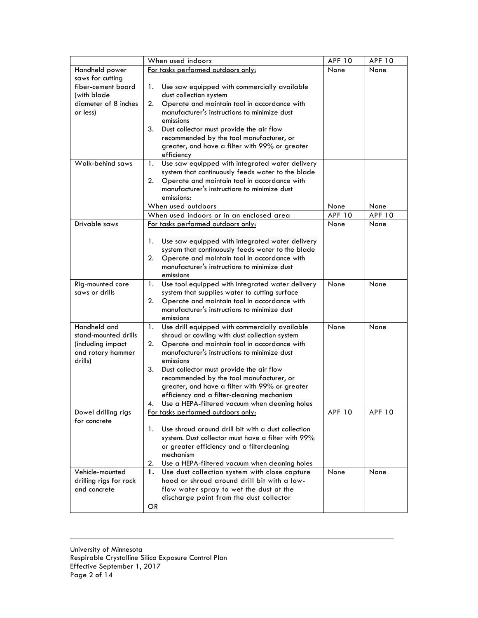|                                    | <b>APF 10</b>                                                                                | <b>APF 10</b> |               |
|------------------------------------|----------------------------------------------------------------------------------------------|---------------|---------------|
| Handheld power                     | When used indoors<br>For tasks performed outdoors only:                                      | None          | None          |
| saws for cutting                   |                                                                                              |               |               |
| fiber-cement board                 | Use saw equipped with commercially available<br>1.                                           |               |               |
| (with blade                        | dust collection system                                                                       |               |               |
| diameter of 8 inches               | 2.<br>Operate and maintain tool in accordance with                                           |               |               |
| or less)                           | manufacturer's instructions to minimize dust                                                 |               |               |
|                                    | emissions                                                                                    |               |               |
|                                    | 3.<br>Dust collector must provide the air flow                                               |               |               |
|                                    | recommended by the tool manufacturer, or                                                     |               |               |
|                                    | greater, and have a filter with 99% or greater                                               |               |               |
|                                    | efficiency                                                                                   |               |               |
| Walk-behind saws                   | Use saw equipped with integrated water delivery<br>1.                                        |               |               |
|                                    | system that continuously feeds water to the blade                                            |               |               |
|                                    | 2.<br>Operate and maintain tool in accordance with                                           |               |               |
|                                    | manufacturer's instructions to minimize dust                                                 |               |               |
|                                    | emissions:                                                                                   |               |               |
|                                    | When used outdoors                                                                           | None          | None          |
|                                    | When used indoors or in an enclosed area                                                     | <b>APF 10</b> | <b>APF 10</b> |
| Drivable saws                      | For tasks performed outdoors only:                                                           | None          | None          |
|                                    |                                                                                              |               |               |
|                                    | 1.<br>Use saw equipped with integrated water delivery                                        |               |               |
|                                    | system that continuously feeds water to the blade                                            |               |               |
|                                    | 2.<br>Operate and maintain tool in accordance with                                           |               |               |
|                                    | manufacturer's instructions to minimize dust                                                 |               |               |
|                                    | emissions                                                                                    |               |               |
| Rig-mounted core<br>saws or drills | Use tool equipped with integrated water delivery<br>1.                                       | None          | None          |
|                                    | system that supplies water to cutting surface<br>2.                                          |               |               |
|                                    | Operate and maintain tool in accordance with<br>manufacturer's instructions to minimize dust |               |               |
|                                    | emissions                                                                                    |               |               |
| Handheld and                       | Use drill equipped with commercially available<br>1.                                         | None          | None          |
| stand-mounted drills               | shroud or cowling with dust collection system                                                |               |               |
| (including impact                  | 2.<br>Operate and maintain tool in accordance with                                           |               |               |
| and rotary hammer                  | manufacturer's instructions to minimize dust                                                 |               |               |
| drills)                            | emissions                                                                                    |               |               |
|                                    | 3.<br>Dust collector must provide the air flow                                               |               |               |
|                                    | recommended by the tool manufacturer, or                                                     |               |               |
|                                    | greater, and have a filter with 99% or greater                                               |               |               |
|                                    | efficiency and a filter-cleaning mechanism                                                   |               |               |
|                                    | Use a HEPA-filtered vacuum when cleanina holes<br>4.                                         |               |               |
| Dowel drilling rigs                | For tasks performed outdoors only:                                                           | <b>APF 10</b> | <b>APF 10</b> |
| for concrete                       |                                                                                              |               |               |
|                                    | Use shroud around drill bit with a dust collection<br>1.                                     |               |               |
|                                    | system. Dust collector must have a filter with 99%                                           |               |               |
|                                    | or greater efficiency and a filtercleaning                                                   |               |               |
|                                    | mechanism                                                                                    |               |               |
|                                    | Use a HEPA-filtered vacuum when cleaning holes<br>2.                                         |               |               |
| Vehicle-mounted                    | Use dust collection system with close capture<br>1.                                          | None          | None          |
| drilling rigs for rock             | hood or shroud around drill bit with a low-                                                  |               |               |
| and concrete                       | flow water spray to wet the dust at the                                                      |               |               |
|                                    | discharge point from the dust collector                                                      |               |               |
|                                    | OR                                                                                           |               |               |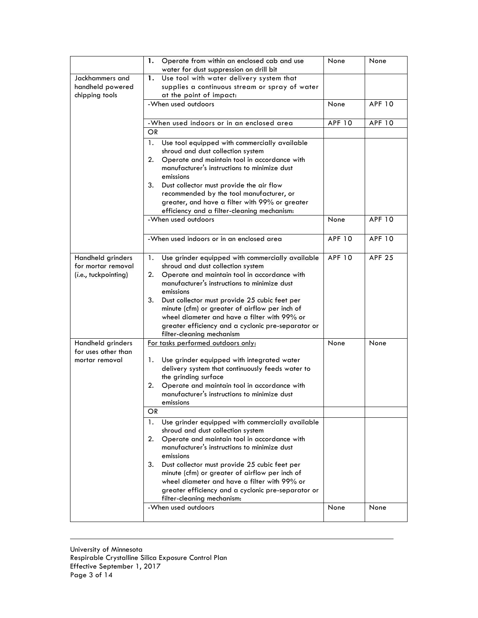|                                          |                                                                                              | None          | None          |
|------------------------------------------|----------------------------------------------------------------------------------------------|---------------|---------------|
|                                          | Operate from within an enclosed cab and use<br>1.<br>water for dust suppression on drill bit |               |               |
| Jackhammers and                          | Use tool with water delivery system that<br>1.                                               |               |               |
| handheld powered                         | supplies a continuous stream or spray of water                                               |               |               |
| chipping tools                           | at the point of impact:                                                                      |               |               |
|                                          | -When used outdoors                                                                          | None          | <b>APF 10</b> |
|                                          | -When used indoors or in an enclosed area                                                    | <b>APF 10</b> | <b>APF 10</b> |
|                                          | <b>OR</b>                                                                                    |               |               |
|                                          | 1.<br>Use tool equipped with commercially available                                          |               |               |
|                                          | shroud and dust collection system                                                            |               |               |
|                                          | 2.<br>Operate and maintain tool in accordance with                                           |               |               |
|                                          | manufacturer's instructions to minimize dust                                                 |               |               |
|                                          | emissions                                                                                    |               |               |
|                                          | 3. Dust collector must provide the air flow                                                  |               |               |
|                                          | recommended by the tool manufacturer, or                                                     |               |               |
|                                          | greater, and have a filter with 99% or greater                                               |               |               |
|                                          | efficiency and a filter-cleaning mechanism:                                                  |               |               |
|                                          | -When used outdoors                                                                          | None          | <b>APF 10</b> |
|                                          |                                                                                              |               |               |
|                                          | -When used indoors or in an enclosed area                                                    | <b>APF 10</b> | <b>APF 10</b> |
| Handheld grinders                        | Use grinder equipped with commercially available<br>1.                                       | <b>APF 10</b> | <b>APF 25</b> |
| for mortar removal                       | shroud and dust collection system                                                            |               |               |
| (i.e., tuckpointing)                     | 2.<br>Operate and maintain tool in accordance with                                           |               |               |
|                                          | manufacturer's instructions to minimize dust                                                 |               |               |
|                                          | emissions                                                                                    |               |               |
|                                          | 3.<br>Dust collector must provide 25 cubic feet per                                          |               |               |
|                                          | minute (cfm) or greater of airflow per inch of                                               |               |               |
|                                          | wheel diameter and have a filter with 99% or                                                 |               |               |
|                                          | greater efficiency and a cyclonic pre-separator or                                           |               |               |
|                                          | filter-cleaning mechanism                                                                    |               |               |
| Handheld grinders<br>for uses other than | For tasks performed outdoors only:                                                           | None          | None          |
| mortar removal                           | 1.<br>Use grinder equipped with integrated water                                             |               |               |
|                                          | delivery system that continuously feeds water to                                             |               |               |
|                                          | the grinding surface                                                                         |               |               |
|                                          | 2.<br>Operate and maintain tool in accordance with                                           |               |               |
|                                          | manufacturer's instructions to minimize dust                                                 |               |               |
|                                          | emissions                                                                                    |               |               |
|                                          | OR.                                                                                          |               |               |
|                                          | Use grinder equipped with commercially available<br>1.                                       |               |               |
|                                          | shroud and dust collection system                                                            |               |               |
|                                          | 2.<br>Operate and maintain tool in accordance with                                           |               |               |
|                                          | manufacturer's instructions to minimize dust                                                 |               |               |
|                                          | emissions                                                                                    |               |               |
|                                          | 3.<br>Dust collector must provide 25 cubic feet per                                          |               |               |
|                                          | minute (cfm) or greater of airflow per inch of                                               |               |               |
|                                          | wheel diameter and have a filter with 99% or                                                 |               |               |
|                                          | greater efficiency and a cyclonic pre-separator or<br>filter-cleaning mechanism:             |               |               |
|                                          | -When used outdoors                                                                          | None          | None          |
|                                          |                                                                                              |               |               |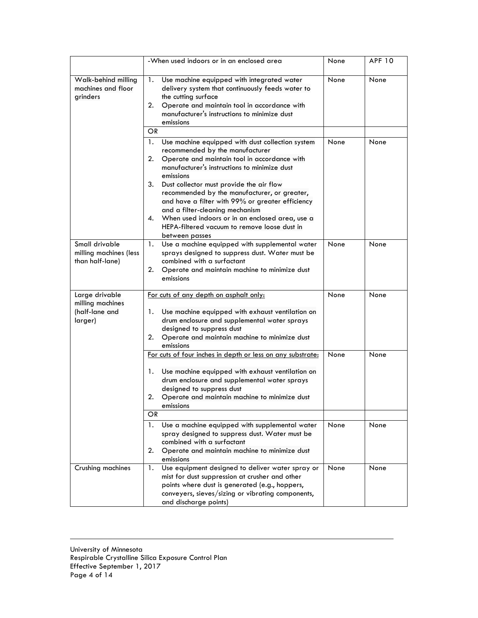|                                                                 | -When used indoors or in an enclosed area                                                                                                                                                                                                                                                                                                                                                                                                                                                                                        | None | <b>APF 10</b> |
|-----------------------------------------------------------------|----------------------------------------------------------------------------------------------------------------------------------------------------------------------------------------------------------------------------------------------------------------------------------------------------------------------------------------------------------------------------------------------------------------------------------------------------------------------------------------------------------------------------------|------|---------------|
| Walk-behind milling<br>machines and floor<br>grinders           | Use machine equipped with integrated water<br>1.<br>delivery system that continuously feeds water to<br>the cutting surface<br>Operate and maintain tool in accordance with<br>2.<br>manufacturer's instructions to minimize dust<br>emissions<br>OR.                                                                                                                                                                                                                                                                            | None | None          |
|                                                                 | Use machine equipped with dust collection system<br>1.<br>recommended by the manufacturer<br>2.<br>Operate and maintain tool in accordance with<br>manufacturer's instructions to minimize dust<br>emissions<br>3.<br>Dust collector must provide the air flow<br>recommended by the manufacturer, or greater,<br>and have a filter with 99% or greater efficiency<br>and a filter-cleaning mechanism<br>When used indoors or in an enclosed area, use a<br>4.<br>HEPA-filtered vacuum to remove loose dust in<br>between passes | None | None          |
| Small drivable<br>milling machines (less<br>than half-lane)     | Use a machine equipped with supplemental water<br>1.<br>sprays designed to suppress dust. Water must be<br>combined with a surfactant<br>2.<br>Operate and maintain machine to minimize dust<br>emissions                                                                                                                                                                                                                                                                                                                        | None | None          |
| Large drivable<br>milling machines<br>(half-lane and<br>larger) | For cuts of any depth on asphalt only:<br>Use machine equipped with exhaust ventilation on<br>1.<br>drum enclosure and supplemental water sprays<br>designed to suppress dust<br>2.<br>Operate and maintain machine to minimize dust<br>emissions                                                                                                                                                                                                                                                                                | None | None          |
|                                                                 | For cuts of four inches in depth or less on any substrate:<br>Use machine equipped with exhaust ventilation on<br>1.<br>drum enclosure and supplemental water sprays<br>designed to suppress dust<br>Operate and maintain machine to minimize dust<br>2.<br>emissions<br>OR.                                                                                                                                                                                                                                                     | None | None          |
|                                                                 | 1.<br>Use a machine equipped with supplemental water<br>spray designed to suppress dust. Water must be<br>combined with a surfactant<br>Operate and maintain machine to minimize dust<br>2.<br>emissions                                                                                                                                                                                                                                                                                                                         | None | None          |
| Crushing machines                                               | Use equipment designed to deliver water spray or<br>1.<br>mist for dust suppression at crusher and other<br>points where dust is generated (e.g., hoppers,<br>conveyers, sieves/sizing or vibrating components,<br>and discharge points)                                                                                                                                                                                                                                                                                         | None | None          |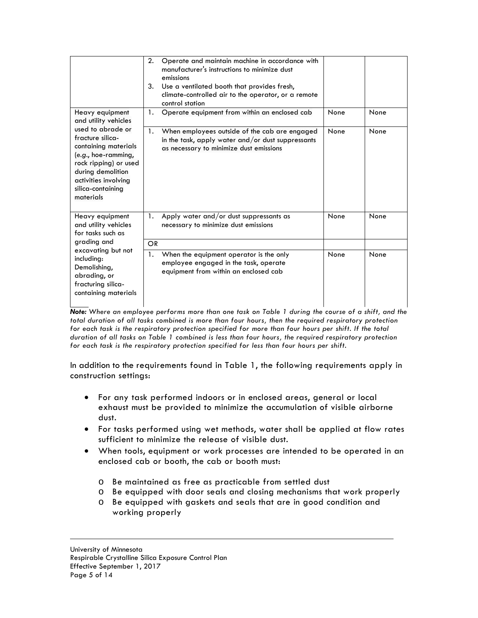|                                                                                                                                                                                                | 2.<br>3.  | Operate and maintain machine in accordance with<br>manufacturer's instructions to minimize dust<br>emissions<br>Use a ventilated booth that provides fresh,<br>climate-controlled air to the operator, or a remote<br>control station |      |      |
|------------------------------------------------------------------------------------------------------------------------------------------------------------------------------------------------|-----------|---------------------------------------------------------------------------------------------------------------------------------------------------------------------------------------------------------------------------------------|------|------|
| Heavy equipment<br>and utility vehicles                                                                                                                                                        | 1.        | Operate equipment from within an enclosed cab                                                                                                                                                                                         | None | None |
| used to abrade or<br>fracture silica-<br>containing materials<br>$(e.g., hoe-ramming,$<br>rock ripping) or used<br>during demolition<br>activities involving<br>silica-containing<br>materials | 1.        | When employees outside of the cab are engaged<br>in the task, apply water and/or dust suppressants<br>as necessary to minimize dust emissions                                                                                         | None | None |
| Heavy equipment<br>and utility vehicles<br>for tasks such as                                                                                                                                   | 1.        | Apply water and/or dust suppressants as<br>necessary to minimize dust emissions                                                                                                                                                       | None | None |
| grading and                                                                                                                                                                                    | <b>OR</b> |                                                                                                                                                                                                                                       |      |      |
| excavating but not<br>including:<br>Demolishing,<br>abrading, or<br>fracturing silica-<br>containing materials                                                                                 | 1.        | When the equipment operator is the only<br>employee engaged in the task, operate<br>equipment from within an enclosed cab                                                                                                             | None | None |

*Note: Where an employee performs more than one task on Table 1 during the course of a shift, and the total duration of all tasks combined is more than four hours, then the required respiratory protection for each task is the respiratory protection specified for more than four hours per shift. If the total duration of all tasks on Table 1 combined is less than four hours, the required respiratory protection for each task is the respiratory protection specified for less than four hours per shift.*

In addition to the requirements found in Table 1, the following requirements apply in construction settings:

- For any task performed indoors or in enclosed areas, general or local exhaust must be provided to minimize the accumulation of visible airborne dust.
- For tasks performed using wet methods, water shall be applied at flow rates sufficient to minimize the release of visible dust.
- When tools, equipment or work processes are intended to be operated in an enclosed cab or booth, the cab or booth must:
	- o Be maintained as free as practicable from settled dust
	- o Be equipped with door seals and closing mechanisms that work properly
	- o Be equipped with gaskets and seals that are in good condition and working properly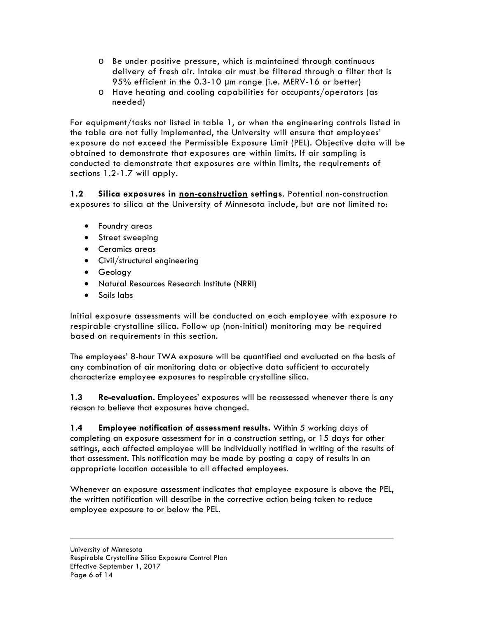- o Be under positive pressure, which is maintained through continuous delivery of fresh air. Intake air must be filtered through a filter that is 95% efficient in the 0.3-10 µm range (i.e. MERV-16 or better)
- o Have heating and cooling capabilities for occupants/operators (as needed)

For equipment/tasks not listed in table 1, or when the engineering controls listed in the table are not fully implemented, the University will ensure that employees' exposure do not exceed the Permissible Exposure Limit (PEL). Objective data will be obtained to demonstrate that exposures are within limits. If air sampling is conducted to demonstrate that exposures are within limits, the requirements of sections 1.2-1.7 will apply.

**1.2 Silica exposures in non-construction settings**. Potential non-construction exposures to silica at the University of Minnesota include, but are not limited to:

- Foundry areas
- Street sweeping
- Ceramics areas
- Civil/structural engineering
- Geology
- Natural Resources Research Institute (NRRI)
- Soils labs

Initial exposure assessments will be conducted on each employee with exposure to respirable crystalline silica. Follow up (non-initial) monitoring may be required based on requirements in this section.

The employees' 8-hour TWA exposure will be quantified and evaluated on the basis of any combination of air monitoring data or objective data sufficient to accurately characterize employee exposures to respirable crystalline silica.

**1.3 Re-evaluation.** Employees' exposures will be reassessed whenever there is any reason to believe that exposures have changed.

**1.4 Employee notification of assessment results.** Within 5 working days of completing an exposure assessment for in a construction setting, or 15 days for other settings, each affected employee will be individually notified in writing of the results of that assessment. This notification may be made by posting a copy of results in an appropriate location accessible to all affected employees.

Whenever an exposure assessment indicates that employee exposure is above the PEL, the written notification will describe in the corrective action being taken to reduce employee exposure to or below the PEL.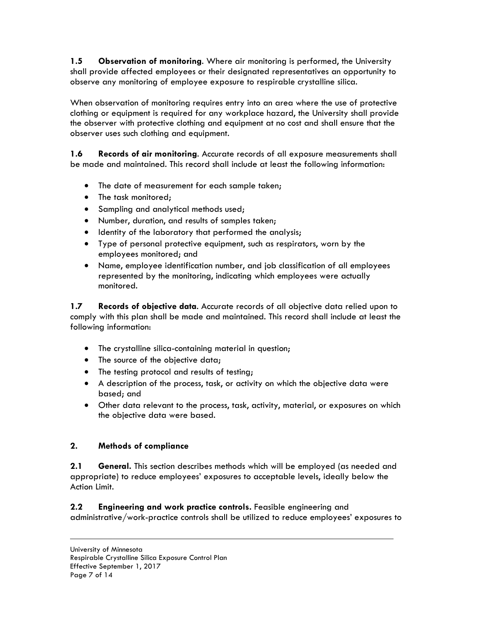**1.5 Observation of monitoring**. Where air monitoring is performed, the University shall provide affected employees or their designated representatives an opportunity to observe any monitoring of employee exposure to respirable crystalline silica.

When observation of monitoring requires entry into an area where the use of protective clothing or equipment is required for any workplace hazard, the University shall provide the observer with protective clothing and equipment at no cost and shall ensure that the observer uses such clothing and equipment.

**1.6 Records of air monitoring**. Accurate records of all exposure measurements shall be made and maintained. This record shall include at least the following information:

- The date of measurement for each sample taken;
- The task monitored;
- Sampling and analytical methods used;
- Number, duration, and results of samples taken;
- Identity of the laboratory that performed the analysis;
- Type of personal protective equipment, such as respirators, worn by the employees monitored; and
- Name, employee identification number, and job classification of all employees represented by the monitoring, indicating which employees were actually monitored.

**1.7 Records of objective data**. Accurate records of all objective data relied upon to comply with this plan shall be made and maintained. This record shall include at least the following information:

- The crystalline silica-containing material in question;
- The source of the objective data;
- The testing protocol and results of testing;
- A description of the process, task, or activity on which the objective data were based; and
- Other data relevant to the process, task, activity, material, or exposures on which the objective data were based.

# **2. Methods of compliance**

**2.1 General.** This section describes methods which will be employed (as needed and appropriate) to reduce employees' exposures to acceptable levels, ideally below the Action Limit.

**2.2 Engineering and work practice controls.** Feasible engineering and administrative/work-practice controls shall be utilized to reduce employees' exposures to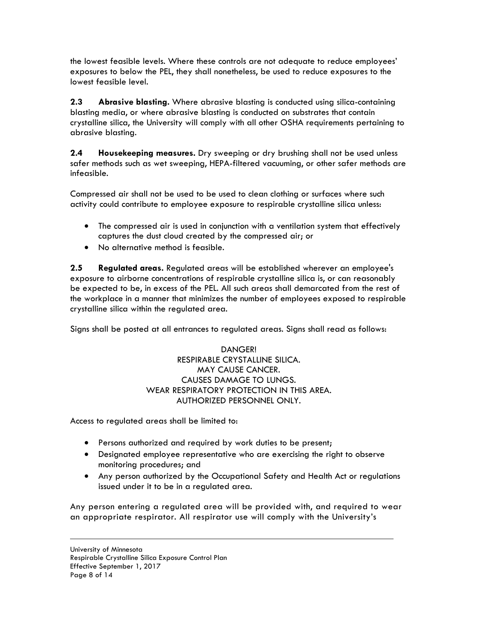the lowest feasible levels. Where these controls are not adequate to reduce employees' exposures to below the PEL, they shall nonetheless, be used to reduce exposures to the lowest feasible level.

**2.3 Abrasive blasting.** Where abrasive blasting is conducted using silica-containing blasting media, or where abrasive blasting is conducted on substrates that contain crystalline silica, the University will comply with all other OSHA requirements pertaining to abrasive blasting.

**2.4 Housekeeping measures.** Dry sweeping or dry brushing shall not be used unless safer methods such as wet sweeping, HEPA-filtered vacuuming, or other safer methods are infeasible.

Compressed air shall not be used to be used to clean clothing or surfaces where such activity could contribute to employee exposure to respirable crystalline silica unless:

- The compressed air is used in conjunction with a ventilation system that effectively captures the dust cloud created by the compressed air; or
- No alternative method is feasible.

**2.5 Regulated areas.** Regulated areas will be established wherever an employee's exposure to airborne concentrations of respirable crystalline silica is, or can reasonably be expected to be, in excess of the PEL. All such areas shall demarcated from the rest of the workplace in a manner that minimizes the number of employees exposed to respirable crystalline silica within the regulated area.

Signs shall be posted at all entrances to regulated areas. Signs shall read as follows:

DANGER! RESPIRABLE CRYSTALLINE SILICA. MAY CAUSE CANCER. CAUSES DAMAGE TO LUNGS. WEAR RESPIRATORY PROTECTION IN THIS AREA. AUTHORIZED PERSONNEL ONLY.

Access to regulated areas shall be limited to:

- Persons authorized and required by work duties to be present;
- Designated employee representative who are exercising the right to observe monitoring procedures; and
- Any person authorized by the Occupational Safety and Health Act or regulations issued under it to be in a regulated area.

Any person entering a regulated area will be provided with, and required to wear an appropriate respirator. All respirator use will comply with the University's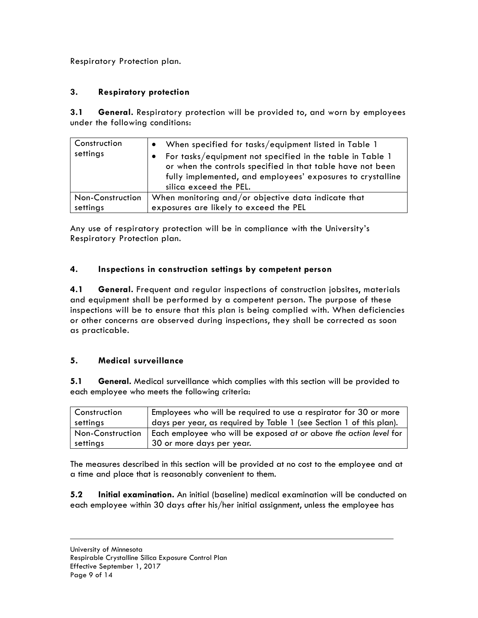Respiratory Protection plan.

# **3. Respiratory protection**

**3.1 General.** Respiratory protection will be provided to, and worn by employees under the following conditions:

| Construction<br>settings | When specified for tasks/equipment listed in Table 1<br>For tasks/equipment not specified in the table in Table 1<br>or when the controls specified in that table have not been<br>fully implemented, and employees' exposures to crystalline<br>silica exceed the PEL. |
|--------------------------|-------------------------------------------------------------------------------------------------------------------------------------------------------------------------------------------------------------------------------------------------------------------------|
| Non-Construction         | When monitoring and/or objective data indicate that                                                                                                                                                                                                                     |
| settings                 | exposures are likely to exceed the PEL                                                                                                                                                                                                                                  |

Any use of respiratory protection will be in compliance with the University's Respiratory Protection plan.

### **4. Inspections in construction settings by competent person**

**4.1 General.** Frequent and regular inspections of construction jobsites, materials and equipment shall be performed by a competent person. The purpose of these inspections will be to ensure that this plan is being complied with. When deficiencies or other concerns are observed during inspections, they shall be corrected as soon as practicable.

#### **5. Medical surveillance**

**5.1 General.** Medical surveillance which complies with this section will be provided to each employee who meets the following criteria:

| <b>Construction</b> | Employees who will be required to use a respirator for 30 or more   |
|---------------------|---------------------------------------------------------------------|
| settings            | days per year, as required by Table 1 (see Section 1 of this plan). |
| Non-Construction    | Each employee who will be exposed at or above the action level for  |
| settings            | 30 or more days per year.                                           |

The measures described in this section will be provided at no cost to the employee and at a time and place that is reasonably convenient to them.

**5.2 Initial examination.** An initial (baseline) medical examination will be conducted on each employee within 30 days after his/her initial assignment, unless the employee has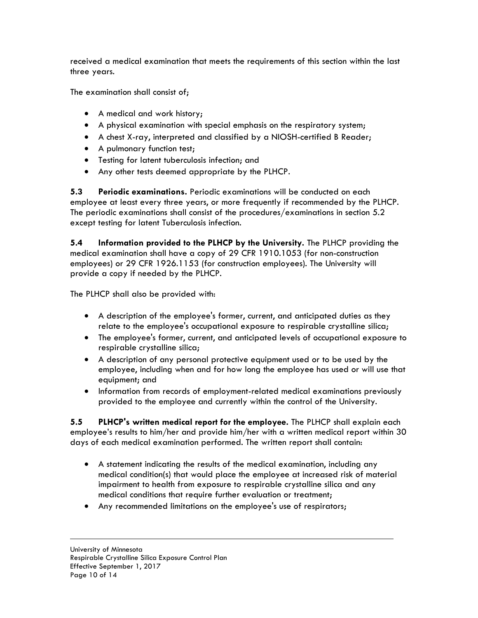received a medical examination that meets the requirements of this section within the last three years.

The examination shall consist of;

- A medical and work history;
- A physical examination with special emphasis on the respiratory system;
- A chest X-ray, interpreted and classified by a NIOSH-certified B Reader;
- A pulmonary function test;
- Testing for latent tuberculosis infection; and
- Any other tests deemed appropriate by the PLHCP.

**5.3 Periodic examinations.** Periodic examinations will be conducted on each employee at least every three years, or more frequently if recommended by the PLHCP. The periodic examinations shall consist of the procedures/examinations in section 5.2 except testing for latent Tuberculosis infection.

**5.4 Information provided to the PLHCP by the University.** The PLHCP providing the medical examination shall have a copy of 29 CFR 1910.1053 (for non-construction employees) or 29 CFR 1926.1153 (for construction employees). The University will provide a copy if needed by the PLHCP.

The PLHCP shall also be provided with:

- A description of the employee's former, current, and anticipated duties as they relate to the employee's occupational exposure to respirable crystalline silica;
- The employee's former, current, and anticipated levels of occupational exposure to respirable crystalline silica;
- A description of any personal protective equipment used or to be used by the employee, including when and for how long the employee has used or will use that equipment; and
- Information from records of employment-related medical examinations previously provided to the employee and currently within the control of the University.

**5.5 PLHCP's written medical report for the employee.** The PLHCP shall explain each employee's results to him/her and provide him/her with a written medical report within 30 days of each medical examination performed. The written report shall contain:

- A statement indicating the results of the medical examination, including any medical condition(s) that would place the employee at increased risk of material impairment to health from exposure to respirable crystalline silica and any medical conditions that require further evaluation or treatment;
- Any recommended limitations on the employee's use of respirators;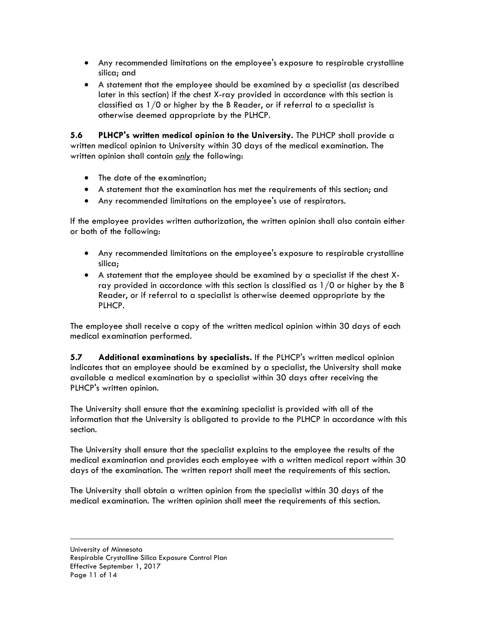- Any recommended limitations on the employee's exposure to respirable crystalline silica; and
- A statement that the employee should be examined by a specialist (as described later in this section) if the chest X-ray provided in accordance with this section is classified as 1/0 or higher by the B Reader, or if referral to a specialist is otherwise deemed appropriate by the PLHCP.

**5.6 PLHCP's written medical opinion to the University.** The PLHCP shall provide a written medical opinion to University within 30 days of the medical examination. The written opinion shall contain *only* the following:

- The date of the examination;
- A statement that the examination has met the requirements of this section; and
- Any recommended limitations on the employee's use of respirators.

If the employee provides written authorization, the written opinion shall also contain either or both of the following:

- Any recommended limitations on the employee's exposure to respirable crystalline silica;
- A statement that the employee should be examined by a specialist if the chest Xray provided in accordance with this section is classified as 1/0 or higher by the B Reader, or if referral to a specialist is otherwise deemed appropriate by the PLHCP.

The employee shall receive a copy of the written medical opinion within 30 days of each medical examination performed.

**5.7 Additional examinations by specialists.** If the PLHCP's written medical opinion indicates that an employee should be examined by a specialist, the University shall make available a medical examination by a specialist within 30 days after receiving the PLHCP's written opinion.

The University shall ensure that the examining specialist is provided with all of the information that the University is obligated to provide to the PLHCP in accordance with this section.

The University shall ensure that the specialist explains to the employee the results of the medical examination and provides each employee with a written medical report within 30 days of the examination. The written report shall meet the requirements of this section.

The University shall obtain a written opinion from the specialist within 30 days of the medical examination. The written opinion shall meet the requirements of this section.